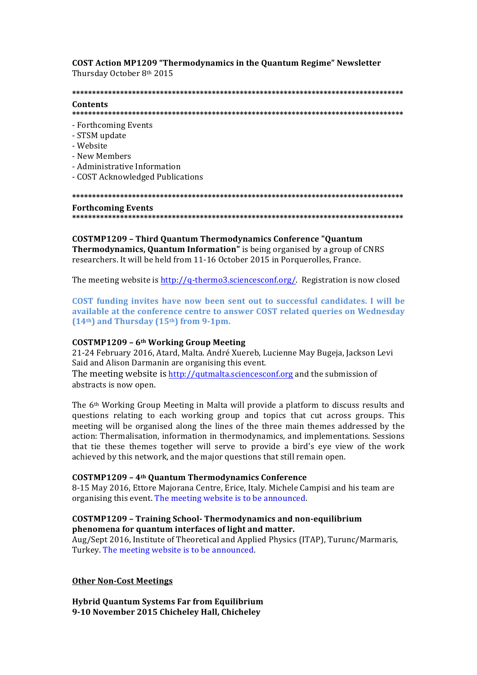**COST Action MP1209 "Thermodynamics in the Quantum Regime" Newsletter** Thursday October 8th 2015

#### 

#### Contents

#### 

- Forthcoming Events
- STSM undate
- Website
- New Members
- Administrative Information
- COST Acknowledged Publications

# **Forthcoming Events**

## **COSTMP1209 - Third Quantum Thermodynamics Conference "Quantum"**

**Thermodynamics, Quantum Information"** is being organised by a group of CNRS researchers. It will be held from 11-16 October 2015 in Porquerolles, France.

The meeting website is  $http://q-thermo3.sciencesconfig/$ . Registration is now closed

COST funding invites have now been sent out to successful candidates. I will be available at the conference centre to answer COST related queries on Wednesday  $(14<sup>th</sup>)$  and Thursday  $(15<sup>th</sup>)$  from 9-1pm.

#### COSTMP1209 - 6<sup>th</sup> Working Group Meeting

21-24 February 2016, Atard, Malta. André Xuereb, Lucienne May Bugeja, Jackson Levi Said and Alison Darmanin are organising this event.

The meeting website is http://gutmalta.sciencesconf.org and the submission of abstracts is now open.

The 6<sup>th</sup> Working Group Meeting in Malta will provide a platform to discuss results and questions relating to each working group and topics that cut across groups. This meeting will be organised along the lines of the three main themes addressed by the action: Thermalisation, information in thermodynamics, and implementations. Sessions that tie these themes together will serve to provide a bird's eye view of the work achieved by this network, and the major questions that still remain open.

#### **COSTMP1209 - 4th Quantum Thermodynamics Conference**

8-15 May 2016, Ettore Majorana Centre, Erice, Italy. Michele Campisi and his team are organising this event. The meeting website is to be announced.

#### **COSTMP1209 - Training School- Thermodynamics and non-equilibrium** phenomena for quantum interfaces of light and matter.

Aug/Sept 2016, Institute of Theoretical and Applied Physics (ITAP), Turunc/Marmaris, Turkey. The meeting website is to be announced.

#### **Other Non-Cost Meetings**

**Hybrid Quantum Systems Far from Equilibrium** 9-10 November 2015 Chichelev Hall, Chichelev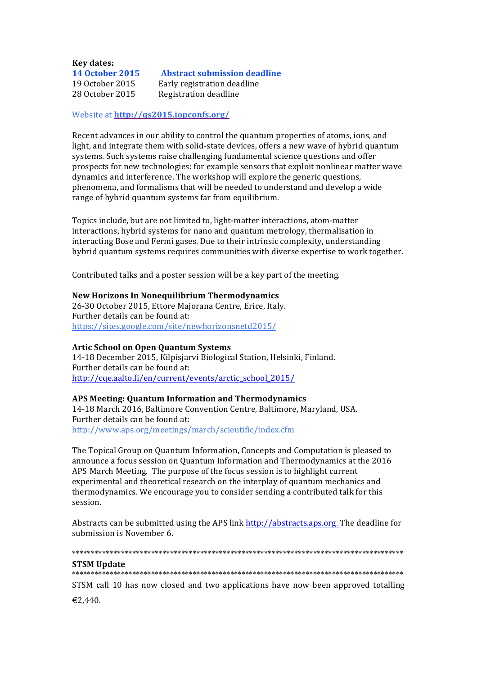#### **Key dates: 14 October 2015** Abstract submission deadline 19 October 2015 Early registration deadline 28 October 2015 Registration deadline

#### Website at **http://qs2015.iopconfs.org/**

Recent advances in our ability to control the quantum properties of atoms, ions, and light, and integrate them with solid-state devices, offers a new wave of hybrid quantum systems. Such systems raise challenging fundamental science questions and offer prospects for new technologies: for example sensors that exploit nonlinear matter wave dynamics and interference. The workshop will explore the generic questions, phenomena, and formalisms that will be needed to understand and develop a wide range of hybrid quantum systems far from equilibrium.

Topics include, but are not limited to, light-matter interactions, atom-matter interactions, hybrid systems for nano and quantum metrology, thermalisation in interacting Bose and Fermi gases. Due to their intrinsic complexity, understanding hybrid quantum systems requires communities with diverse expertise to work together.

Contributed talks and a poster session will be a key part of the meeting.

#### **New Horizons In Nonequilibrium Thermodynamics**

26-30 October 2015. Ettore Majorana Centre, Erice, Italy. Further details can be found at: https://sites.google.com/site/newhorizonsnetd2015/

#### **Artic School on Open Quantum Systems**

14-18 December 2015, Kilpisjarvi Biological Station, Helsinki, Finland. Further details can be found at: http://cqe.aalto.fi/en/current/events/arctic\_school\_2015/

#### **APS Meeting: Quantum Information and Thermodynamics**

14-18 March 2016, Baltimore Convention Centre, Baltimore, Maryland, USA. Further details can be found at: http://www.aps.org/meetings/march/scientific/index.cfm

The Topical Group on Quantum Information, Concepts and Computation is pleased to announce a focus session on Quantum Information and Thermodynamics at the 2016 APS March Meeting. The purpose of the focus session is to highlight current experimental and theoretical research on the interplay of quantum mechanics and thermodynamics. We encourage you to consider sending a contributed talk for this session.

Abstracts can be submitted using the APS link http://abstracts.aps.org. The deadline for submission is November 6.

# \*\*\*\*\*\*\*\*\*\*\*\*\*\*\*\*\*\*\*\*\*\*\*\*\*\*\*\*\*\*\*\*\*\*\*\*\*\*\*\*\*\*\*\*\*\*\*\*\*\*\*\*\*\*\*\*\*\*\*\*\*\*\*\*\*\*\*\*\*\*\*\*\*\*\*\*\*\*\*\*\*\*\*\*\*\*\*\*

#### **STSM** Update \*\*\*\*\*\*\*\*\*\*\*\*\*\*\*\*\*\*\*\*\*\*\*\*\*\*\*\*\*\*\*\*\*\*\*\*\*\*\*\*\*\*\*\*\*\*\*\*\*\*\*\*\*\*\*\*\*\*\*\*\*\*\*\*\*\*\*\*\*\*\*\*\*\*\*\*\*\*\*\*\*\*\*\*\*\*\*\*

STSM call 10 has now closed and two applications have now been approved totalling

€2,440.